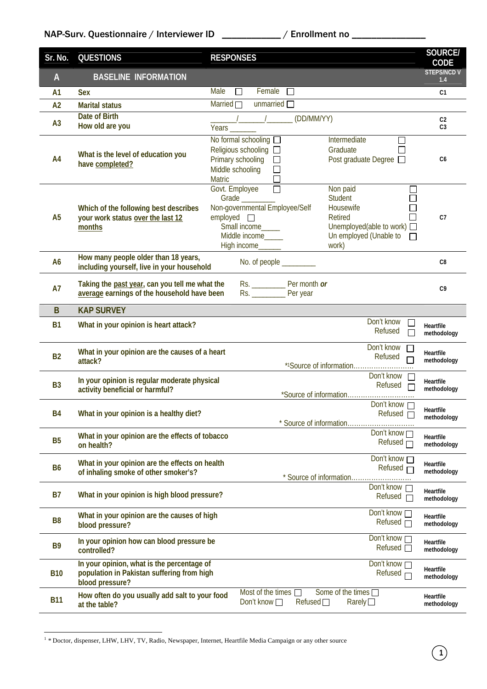| Sr. No.        | <b>QUESTIONS</b>                                                                                            | <b>RESPONSES</b>                                                                                                                                                                                                                                                                                                                                    | <b>SOURCE/</b><br><b>CODE</b>    |
|----------------|-------------------------------------------------------------------------------------------------------------|-----------------------------------------------------------------------------------------------------------------------------------------------------------------------------------------------------------------------------------------------------------------------------------------------------------------------------------------------------|----------------------------------|
| $\mathsf{A}$   | <b>BASELINE INFORMATION</b>                                                                                 |                                                                                                                                                                                                                                                                                                                                                     | <b>STEPS/NCD V</b><br>1.4        |
| A1             | <b>Sex</b>                                                                                                  | Male<br>Female $\Box$<br>П                                                                                                                                                                                                                                                                                                                          | C <sub>1</sub>                   |
| A2             | <b>Marital status</b>                                                                                       | Married $\Box$<br>unmarried $\Box$                                                                                                                                                                                                                                                                                                                  |                                  |
| A <sub>3</sub> | Date of Birth<br>How old are you                                                                            | (DD/MM/YY)<br>$\frac{1}{2}$ $\frac{1}{2}$ $\frac{1}{2}$ $\frac{1}{2}$ $\frac{1}{2}$ $\frac{1}{2}$ $\frac{1}{2}$ $\frac{1}{2}$ $\frac{1}{2}$ $\frac{1}{2}$ $\frac{1}{2}$ $\frac{1}{2}$ $\frac{1}{2}$ $\frac{1}{2}$ $\frac{1}{2}$ $\frac{1}{2}$ $\frac{1}{2}$ $\frac{1}{2}$ $\frac{1}{2}$ $\frac{1}{2}$ $\frac{1}{2}$ $\frac{1}{2}$<br>Years ________ | C <sub>2</sub><br>C <sub>3</sub> |
| A4             | What is the level of education you<br>have completed?                                                       | No formal schooling <b>D</b><br>Intermediate<br>П<br>Religious schooling $\square$<br>Graduate<br>$\mathcal{L}_{\mathcal{A}}$<br>Primary schooling<br>Post graduate Degree □<br>П<br>Middle schooling<br>$\Box$<br>Matric<br>$\Box$                                                                                                                 | C <sub>6</sub>                   |
| A <sub>5</sub> | Which of the following best describes<br>your work status over the last 12<br>months                        | $\Box$<br>Govt. Employee<br>Non paid<br><b>Student</b><br>Grade<br>Non-governmental Employee/Self<br>Housewife<br>$emploved$ $\Box$<br>Retired<br>Unemployed(able to work) □<br>Small income<br>Un employed (Unable to $\Box$<br>Middle income____<br>work)<br>High income                                                                          | C <sub>7</sub>                   |
| A <sub>6</sub> | How many people older than 18 years,<br>including yourself, live in your household                          | No. of people _________                                                                                                                                                                                                                                                                                                                             | C <sub>8</sub>                   |
| <b>A7</b>      | Taking the past year, can you tell me what the<br>average earnings of the household have been               | Rs. Per year                                                                                                                                                                                                                                                                                                                                        | C <sub>9</sub>                   |
| $\mathsf B$    | <b>KAP SURVEY</b>                                                                                           |                                                                                                                                                                                                                                                                                                                                                     |                                  |
| <b>B1</b>      | What in your opinion is heart attack?                                                                       | Don't know<br>⊔<br>Refused                                                                                                                                                                                                                                                                                                                          | Heartfile<br>methodology         |
| <b>B2</b>      | What in your opinion are the causes of a heart<br>attack?                                                   | Don't know<br>Refused                                                                                                                                                                                                                                                                                                                               | <b>Heartfile</b><br>methodology  |
| <b>B3</b>      | In your opinion is regular moderate physical<br>activity beneficial or harmful?                             | Don't know<br>Refused<br>$\Box$                                                                                                                                                                                                                                                                                                                     | Heartfile<br>methodology         |
| B4             | What in your opinion is a healthy diet?                                                                     | Don't know n<br>Refused $\Box$<br>* Source of information                                                                                                                                                                                                                                                                                           | Heartfile<br>methodology         |
| <b>B5</b>      | What in your opinion are the effects of tobacco<br>on health?                                               | Don't know $\Box$<br>Refused $\Box$                                                                                                                                                                                                                                                                                                                 | Heartfile<br>methodology         |
| <b>B6</b>      | What in your opinion are the effects on health<br>of inhaling smoke of other smoker's?                      | Don't know<br>Refused $\Box$                                                                                                                                                                                                                                                                                                                        | <b>Heartfile</b><br>methodology  |
| <b>B7</b>      | What in your opinion is high blood pressure?                                                                | Don't know $\Box$<br>Refused $\Box$                                                                                                                                                                                                                                                                                                                 | Heartfile<br>methodology         |
| B <sub>8</sub> | What in your opinion are the causes of high<br>blood pressure?                                              | Don't know<br>Refused $\Box$                                                                                                                                                                                                                                                                                                                        | Heartfile<br>methodology         |
| B <sub>9</sub> | In your opinion how can blood pressure be<br>controlled?                                                    | Don't know<br>Refused <sub>[1]</sub>                                                                                                                                                                                                                                                                                                                | Heartfile<br>methodology         |
| <b>B10</b>     | In your opinion, what is the percentage of<br>population in Pakistan suffering from high<br>blood pressure? | Don't know<br>Refused $\Box$                                                                                                                                                                                                                                                                                                                        | Heartfile<br>methodology         |
| <b>B11</b>     | How often do you usually add salt to your food<br>at the table?                                             | Most of the times $\square$<br>Some of the times $\Box$<br>Don't know $\Box$<br>Refused<br>Rarely $\square$                                                                                                                                                                                                                                         | Heartfile<br>methodology         |

 1 \* Doctor, dispenser, LHW, LHV, TV, Radio, Newspaper, Internet, Heartfile Media Campaign or any other source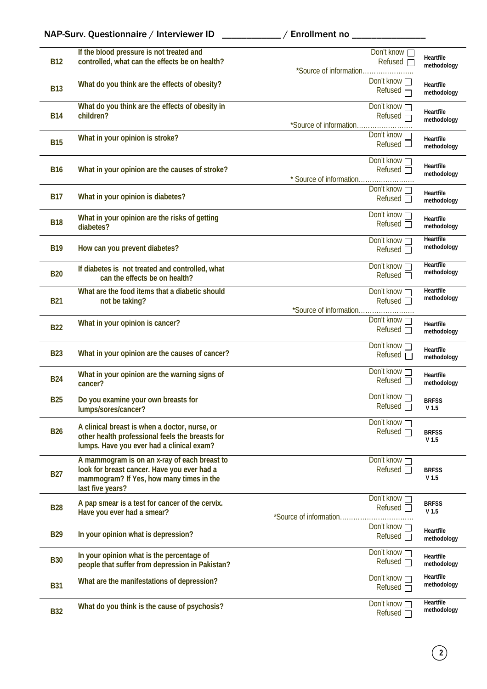| NAP-Surv. Questionnaire / Interviewer ID |  |  |
|------------------------------------------|--|--|
|                                          |  |  |

\_\_\_\_ / Enrollment no \_\_\_\_\_\_\_\_\_\_\_\_\_\_\_

| <b>B12</b> | If the blood pressure is not treated and<br>controlled, what can the effects be on health?                                                                  | *Source of information  | Don't know □<br><b>Refused</b> □          | Heartfile<br>methodology         |
|------------|-------------------------------------------------------------------------------------------------------------------------------------------------------------|-------------------------|-------------------------------------------|----------------------------------|
| <b>B13</b> | What do you think are the effects of obesity?                                                                                                               |                         | Don't know $\Box$<br>Refused              | Heartfile<br>methodology         |
| <b>B14</b> | What do you think are the effects of obesity in<br>children?                                                                                                | *Source of information  | Don't know<br>Refused $\Box$              | Heartfile<br>methodology         |
| <b>B15</b> | What in your opinion is stroke?                                                                                                                             |                         | Don't know<br>Refused                     | Heartfile<br>methodology         |
| <b>B16</b> | What in your opinion are the causes of stroke?                                                                                                              | * Source of information | Don't know<br>Refused $\Box$              | Heartfile<br>methodology         |
| <b>B17</b> | What in your opinion is diabetes?                                                                                                                           |                         | Don't know n<br>Refused                   | Heartfile<br>methodology         |
| <b>B18</b> | What in your opinion are the risks of getting<br>diabetes?                                                                                                  |                         | Don't know $\Box$<br>Refused <sub>D</sub> | Heartfile<br>methodology         |
| <b>B19</b> | How can you prevent diabetes?                                                                                                                               |                         | Don't know<br>Refused $\Box$              | <b>Heartfile</b><br>methodology  |
| <b>B20</b> | If diabetes is not treated and controlled, what<br>can the effects be on health?                                                                            |                         | Don't know n<br>Refused $\Box$            | Heartfile<br>methodology         |
| <b>B21</b> | What are the food items that a diabetic should<br>not be taking?                                                                                            | *Source of information  | Don't know □<br>Refused $\Box$            | <b>Heartfile</b><br>methodology  |
| <b>B22</b> | What in your opinion is cancer?                                                                                                                             |                         | Don't know<br>Refused $\Box$              | Heartfile<br>methodology         |
| <b>B23</b> | What in your opinion are the causes of cancer?                                                                                                              |                         | Don't know $\Box$<br>Refused              | <b>Heartfile</b><br>methodology  |
| <b>B24</b> | What in your opinion are the warning signs of<br>cancer?                                                                                                    |                         | Don't know<br><b>Refused</b> □            | Heartfile<br>methodology         |
| <b>B25</b> | Do you examine your own breasts for<br>lumps/sores/cancer?                                                                                                  |                         | Don't know<br>Refused $\Box$              | <b>BRFSS</b><br>V <sub>1.5</sub> |
| <b>B26</b> | A clinical breast is when a doctor, nurse, or<br>other health professional feels the breasts for<br>lumps. Have you ever had a clinical exam?               |                         | Don't know n<br>Refused $\Box$            | <b>BRFSS</b><br>V <sub>1.5</sub> |
| <b>B27</b> | A mammogram is on an x-ray of each breast to<br>look for breast cancer. Have you ever had a<br>mammogram? If Yes, how many times in the<br>last five years? |                         | Don't know<br>Refused <sub>D</sub>        | <b>BRFSS</b><br>V <sub>1.5</sub> |
| <b>B28</b> | A pap smear is a test for cancer of the cervix.<br>Have you ever had a smear?                                                                               | *Source of information  | Don't know $\Box$<br><b>Refused</b> □     | <b>BRFSS</b><br>V <sub>1.5</sub> |
| <b>B29</b> | In your opinion what is depression?                                                                                                                         |                         | Don't know<br>Refused $\Box$              | Heartfile<br>methodology         |
| <b>B30</b> | In your opinion what is the percentage of<br>people that suffer from depression in Pakistan?                                                                |                         | Don't know<br>Refused $\Box$              | Heartfile<br>methodology         |
| <b>B31</b> | What are the manifestations of depression?                                                                                                                  |                         | Don't know<br>Refused $\Box$              | <b>Heartfile</b><br>methodology  |
| <b>B32</b> | What do you think is the cause of psychosis?                                                                                                                |                         | Don't know<br>Refused $\Box$              | <b>Heartfile</b><br>methodology  |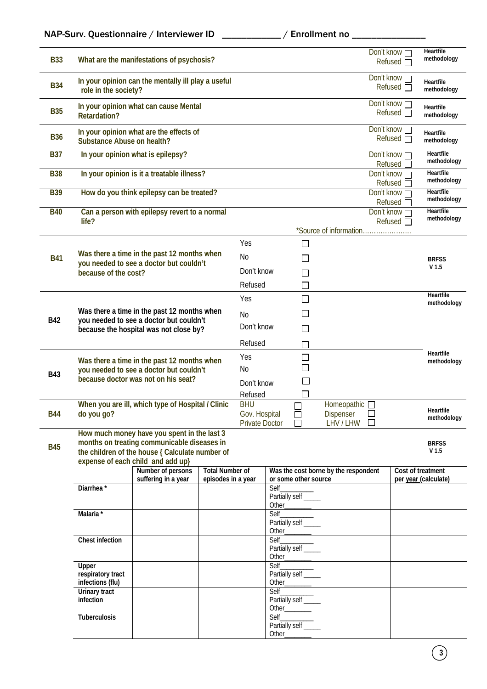| <b>B33</b> |                                        | What are the manifestations of psychosis?                                                                                                                                                               |                        |                                 |                                                      |                                      | Don't know<br>Refused $\Box$        | <b>Heartfile</b><br>methodology                       |
|------------|----------------------------------------|---------------------------------------------------------------------------------------------------------------------------------------------------------------------------------------------------------|------------------------|---------------------------------|------------------------------------------------------|--------------------------------------|-------------------------------------|-------------------------------------------------------|
| <b>B34</b> | role in the society?                   | In your opinion can the mentally ill play a useful                                                                                                                                                      |                        |                                 |                                                      |                                      | Don't know n<br>Refused             | Heartfile<br>methodology                              |
| <b>B35</b> | <b>Retardation?</b>                    | In your opinion what can cause Mental                                                                                                                                                                   |                        |                                 |                                                      |                                      | Don't know $\Box$<br>Refused $\Box$ | <b>Heartfile</b><br>methodology                       |
| <b>B36</b> | <b>Substance Abuse on health?</b>      | In your opinion what are the effects of                                                                                                                                                                 |                        |                                 |                                                      |                                      | Don't know $\Box$<br>Refused $\Box$ | <b>Heartfile</b><br>methodology                       |
| <b>B37</b> |                                        | In your opinion what is epilepsy?                                                                                                                                                                       |                        |                                 |                                                      |                                      | Don't know<br>Refused               | <b>Heartfile</b><br>methodology                       |
| <b>B38</b> |                                        | In your opinion is it a treatable illness?                                                                                                                                                              |                        |                                 |                                                      |                                      | Don't know □<br>Refused             | <b>Heartfile</b><br>methodology                       |
| <b>B39</b> |                                        | How do you think epilepsy can be treated?                                                                                                                                                               |                        |                                 |                                                      |                                      | Don't know $\Box$<br>Refused [      | <b>Heartfile</b><br>methodology                       |
| <b>B40</b> | life?                                  | Can a person with epilepsy revert to a normal                                                                                                                                                           |                        |                                 |                                                      |                                      | Don't know $\Box$<br>Refused $\Box$ | <b>Heartfile</b><br>methodology                       |
|            |                                        |                                                                                                                                                                                                         |                        |                                 |                                                      | *Source of information               |                                     |                                                       |
|            |                                        | Was there a time in the past 12 months when                                                                                                                                                             |                        | Yes                             | П                                                    |                                      |                                     |                                                       |
| <b>B41</b> |                                        | you needed to see a doctor but couldn't                                                                                                                                                                 |                        | No                              |                                                      |                                      |                                     | <b>BRFSS</b><br>V <sub>1.5</sub>                      |
|            | because of the cost?                   |                                                                                                                                                                                                         |                        | Don't know                      |                                                      |                                      |                                     |                                                       |
|            |                                        |                                                                                                                                                                                                         |                        | Refused                         |                                                      |                                      |                                     | Heartfile                                             |
|            |                                        |                                                                                                                                                                                                         |                        | Yes                             | П                                                    |                                      |                                     | methodology                                           |
| <b>B42</b> |                                        | Was there a time in the past 12 months when<br>you needed to see a doctor but couldn't                                                                                                                  |                        | N <sub>0</sub>                  |                                                      |                                      |                                     |                                                       |
|            | because the hospital was not close by? |                                                                                                                                                                                                         | Don't know             |                                 |                                                      |                                      |                                     |                                                       |
|            |                                        |                                                                                                                                                                                                         |                        | Refused                         |                                                      |                                      |                                     | Heartfile                                             |
|            |                                        | Was there a time in the past 12 months when                                                                                                                                                             |                        | Yes                             |                                                      |                                      |                                     | methodology                                           |
| <b>B43</b> |                                        | you needed to see a doctor but couldn't<br>because doctor was not on his seat?                                                                                                                          |                        | No<br>Don't know                |                                                      |                                      |                                     |                                                       |
|            |                                        |                                                                                                                                                                                                         |                        | Refused                         |                                                      |                                      |                                     |                                                       |
|            |                                        | When you are ill, which type of Hospital / Clinic                                                                                                                                                       |                        | <b>BHU</b>                      |                                                      | Homeopathic <sub>D</sub>             |                                     | Heartfile                                             |
| <b>B44</b> | do you go?                             |                                                                                                                                                                                                         |                        | Gov. Hospital<br>Private Doctor | $\Box$<br>$\perp$                                    | <b>Dispenser</b><br>LHV / LHW<br>П   |                                     | methodology                                           |
| <b>B45</b> |                                        | How much money have you spent in the last 3<br>months on treating communicable diseases in<br>the children of the house { Calculate number of<br>expense of each child and add up}<br>Number of persons | <b>Total Number of</b> |                                 |                                                      | Was the cost borne by the respondent |                                     | <b>BRFSS</b><br>V <sub>1.5</sub><br>Cost of treatment |
|            |                                        | suffering in a year                                                                                                                                                                                     | episodes in a year     |                                 | or some other source                                 |                                      |                                     | per year (calculate)                                  |
|            | Diarrhea <sup>*</sup>                  |                                                                                                                                                                                                         |                        |                                 | Self<br>Partially self _____                         |                                      |                                     |                                                       |
|            | Malaria*                               |                                                                                                                                                                                                         |                        |                                 | Self                                                 |                                      |                                     |                                                       |
|            |                                        |                                                                                                                                                                                                         |                        |                                 | Partially self _____                                 |                                      |                                     |                                                       |
|            | <b>Chest infection</b>                 |                                                                                                                                                                                                         |                        |                                 | Other___________<br>Self_                            |                                      |                                     |                                                       |
|            |                                        |                                                                                                                                                                                                         |                        |                                 | Self___________<br>Partially self ______             |                                      |                                     |                                                       |
|            | Upper                                  |                                                                                                                                                                                                         |                        |                                 |                                                      |                                      |                                     |                                                       |
|            | respiratory tract<br>infections (flu)  |                                                                                                                                                                                                         |                        |                                 | Partially self _____<br>Other <sub>___________</sub> |                                      |                                     |                                                       |
|            | <b>Urinary tract</b><br>infection      |                                                                                                                                                                                                         |                        |                                 | Partially self _____                                 |                                      |                                     |                                                       |
|            |                                        |                                                                                                                                                                                                         |                        |                                 |                                                      |                                      |                                     |                                                       |
|            | <b>Tuberculosis</b>                    |                                                                                                                                                                                                         |                        |                                 | Self<br>Partially self _____                         |                                      |                                     |                                                       |
|            |                                        |                                                                                                                                                                                                         |                        |                                 | Other_                                               |                                      |                                     |                                                       |

**3**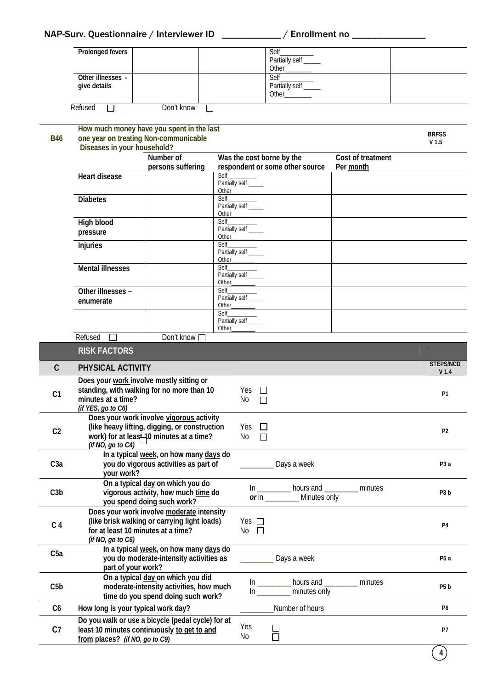| NAP-Surv. Questionnaire / Interviewer ID | / Enrollment no |
|------------------------------------------|-----------------|
|------------------------------------------|-----------------|

| <b>Prolonged fevers</b>           | Self<br>Other | Partially self _____          |  |
|-----------------------------------|---------------|-------------------------------|--|
| Other illnesses -<br>give details | Self          | Partially self _____<br>Other |  |

Refused **Don't know** 

| <b>B46</b>       | How much money have you spent in the last<br>one year on treating Non-communicable |                                                                                                                                       |                                         |                                            |                                                   | <b>BRFSS</b><br>V <sub>1.5</sub> |                   |
|------------------|------------------------------------------------------------------------------------|---------------------------------------------------------------------------------------------------------------------------------------|-----------------------------------------|--------------------------------------------|---------------------------------------------------|----------------------------------|-------------------|
|                  | Diseases in your household?                                                        | Number of<br>persons suffering                                                                                                        |                                         | Was the cost borne by the                  | respondent or some other source                   | Cost of treatment<br>Per month   |                   |
|                  | <b>Heart disease</b>                                                               |                                                                                                                                       | Self<br>Partially self ____             |                                            |                                                   |                                  |                   |
|                  | <b>Diabetes</b>                                                                    |                                                                                                                                       | Self<br>Partially self _____            |                                            |                                                   |                                  |                   |
|                  | <b>High blood</b><br>pressure                                                      |                                                                                                                                       | Partially self ____                     |                                            |                                                   |                                  |                   |
|                  | <b>Injuries</b>                                                                    |                                                                                                                                       | Partially self ____                     | Other                                      |                                                   |                                  |                   |
|                  | <b>Mental illnesses</b>                                                            |                                                                                                                                       | Self<br>Partially self ____             |                                            |                                                   |                                  |                   |
|                  | Other illnesses -<br>enumerate                                                     |                                                                                                                                       | Partially self ____<br><b>Self Self</b> |                                            |                                                   |                                  |                   |
|                  |                                                                                    |                                                                                                                                       | Partially self ____                     | Other                                      |                                                   |                                  |                   |
|                  | Refused<br><b>RISK FACTORS</b>                                                     | Don't know                                                                                                                            |                                         |                                            |                                                   |                                  |                   |
|                  |                                                                                    |                                                                                                                                       |                                         |                                            |                                                   |                                  | <b>STEPS/NCD</b>  |
| $\mathsf{C}$     | PHYSICAL ACTIVITY                                                                  |                                                                                                                                       |                                         |                                            |                                                   |                                  | V <sub>1.4</sub>  |
| C <sub>1</sub>   | minutes at a time?<br>(if YES, go to C6)                                           | Does your work involve mostly sitting or<br>standing, with walking for no more than 10                                                |                                         | Yes<br>$\perp$<br>No<br>П                  |                                                   |                                  | P <sub>1</sub>    |
| C <sub>2</sub>   | (if NO, go to $C4$ )                                                               | Does your work involve vigorous activity<br>(like heavy lifting, digging, or construction<br>work) for at least 10 minutes at a time? |                                         | Yes $\Box$<br>No<br>$\Box$                 |                                                   |                                  | P2                |
| C <sub>3</sub> a | your work?                                                                         | In a typical week, on how many days do<br>you do vigorous activities as part of                                                       |                                         |                                            | Days a week                                       |                                  | P <sub>3</sub> a  |
| C3b              |                                                                                    | On a typical day on which you do<br>vigorous activity, how much time do<br>you spend doing such work?                                 |                                         | In                                         | hours and __<br>or in ______________ Minutes only | minutes                          | P <sub>3</sub> b  |
| C <sub>4</sub>   | (if NO, go to C6)                                                                  | Does your work involve moderate intensity<br>(like brisk walking or carrying light loads)<br>for at least 10 minutes at a time?       |                                         | Yes $\Box$<br>$No$ $\Box$                  |                                                   |                                  | <b>P4</b>         |
| C <sub>5a</sub>  | part of your work?                                                                 | In a typical week, on how many days do<br>you do moderate-intensity activities as                                                     |                                         |                                            | Days a week                                       |                                  | P <sub>5</sub> a  |
| C5b              |                                                                                    | On a typical day on which you did<br>moderate-intensity activities, how much<br>time do you spend doing such work?                    |                                         | $\ln$ and $\ln$                            | hours and ________<br>minutes only                | minutes                          | P <sub>5</sub> b  |
| C <sub>6</sub>   | How long is your typical work day?                                                 |                                                                                                                                       |                                         |                                            | Number of hours                                   |                                  | <b>P6</b>         |
| C7               | from places? (if NO, go to C9)                                                     | Do you walk or use a bicycle (pedal cycle) for at<br>least 10 minutes continuously to get to and                                      |                                         | Yes<br>$\overline{\phantom{0}}$<br>No<br>П |                                                   |                                  | P7                |
|                  |                                                                                    |                                                                                                                                       |                                         |                                            |                                                   |                                  | $\vert 4 \rangle$ |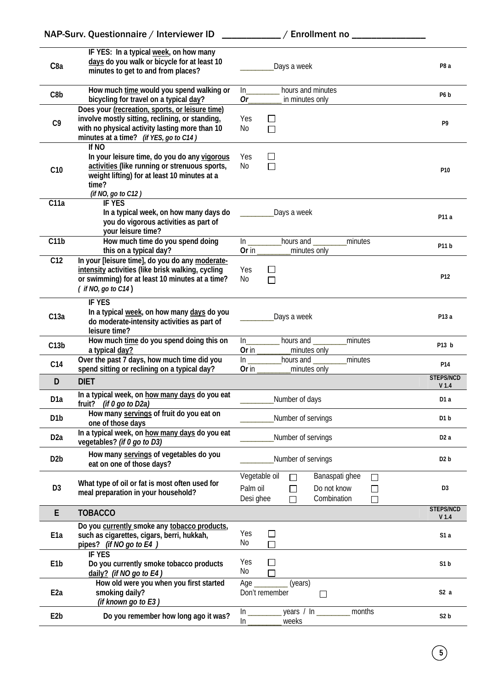|                   | NAP-Surv. Questionnaire / Interviewer ID                                                                                                                                                       | _ / Enrollment no _____________                                                                                           |                                      |
|-------------------|------------------------------------------------------------------------------------------------------------------------------------------------------------------------------------------------|---------------------------------------------------------------------------------------------------------------------------|--------------------------------------|
| C <sub>8a</sub>   | IF YES: In a typical week, on how many<br>days do you walk or bicycle for at least 10<br>minutes to get to and from places?                                                                    | Days a week                                                                                                               | P <sub>8</sub> a                     |
| C8b               | How much time would you spend walking or<br>bicycling for travel on a typical day?                                                                                                             | hours and minutes<br>ln<br>Or<br>in minutes only                                                                          | P6 <sub>b</sub>                      |
| C <sub>9</sub>    | Does your (recreation, sports, or leisure time)<br>involve mostly sitting, reclining, or standing,<br>with no physical activity lasting more than 10<br>minutes at a time? (if YES, go to C14) | Yes<br>ΙI<br>No<br>П                                                                                                      | P9                                   |
| C10               | If NO<br>In your leisure time, do you do any vigorous<br>activities (like running or strenuous sports,<br>weight lifting) for at least 10 minutes at a<br>time?<br>(if NO, go to C12)          | Yes<br>$\perp$<br>No<br>$\Box$                                                                                            | P <sub>10</sub>                      |
| C11a              | <b>IF YES</b><br>In a typical week, on how many days do<br>you do vigorous activities as part of<br>your leisure time?                                                                         | Days a week                                                                                                               | P11 a                                |
| $\overline{C11b}$ | How much time do you spend doing<br>this on a typical day?                                                                                                                                     | In _____________hours and _________<br>minutes<br>Or in $\qquad$<br>minutes only                                          | P11b                                 |
| C12               | In your [leisure time], do you do any moderate-<br>intensity activities (like brisk walking, cycling<br>or swimming) for at least 10 minutes at a time?<br>$($ if NO, go to $C14)$             | Yes<br>U<br>No<br>П                                                                                                       | P12                                  |
| C13a              | <b>IF YES</b><br>In a typical week, on how many days do you<br>do moderate-intensity activities as part of<br>leisure time?                                                                    | Days a week                                                                                                               | P13 a                                |
| C13b              | How much time do you spend doing this on<br>a typical day?                                                                                                                                     | hours and<br>minutes<br>Or in<br>minutes only                                                                             | P13 b                                |
| C <sub>14</sub>   | Over the past 7 days, how much time did you<br>spend sitting or reclining on a typical day?                                                                                                    | $ln_$<br>minutes<br>hours and<br>Or in<br>minutes only                                                                    | P14                                  |
| D                 | <b>DIET</b>                                                                                                                                                                                    |                                                                                                                           | <b>STEPS/NCD</b><br>V <sub>1.4</sub> |
| D <sub>1</sub> a  | In a typical week, on how many days do you eat<br>fruit? (if $0$ go to D2a)                                                                                                                    | Number of days                                                                                                            | D <sub>1</sub> a                     |
| D <sub>1</sub> b  | How many servings of fruit do you eat on<br>one of those days                                                                                                                                  | Number of servings                                                                                                        | D <sub>1</sub> b                     |
| D <sub>2</sub> a  | In a typical week, on how many days do you eat<br>vegetables? (if 0 go to D3)                                                                                                                  | Number of servings                                                                                                        | D <sub>2</sub> a                     |
| D <sub>2</sub> b  | How many servings of vegetables do you<br>eat on one of those days?                                                                                                                            | Number of servings                                                                                                        | D <sub>2</sub> b                     |
| D <sub>3</sub>    | What type of oil or fat is most often used for<br>meal preparation in your household?                                                                                                          | Vegetable oil<br>Banaspati ghee<br>$\Box$<br>Palm oil<br>Do not know<br>$\sim$<br>Combination<br>Desi ghee<br>П<br>$\Box$ | D <sub>3</sub>                       |
| E                 | <b>TOBACCO</b>                                                                                                                                                                                 |                                                                                                                           | <b>STEPS/NCD</b><br>V <sub>1.4</sub> |
| E <sub>1a</sub>   | Do you currently smoke any tobacco products,<br>such as cigarettes, cigars, berri, hukkah,<br>pipes? (if NO go to E4)                                                                          | Yes<br>$\mathsf{I}$<br>No                                                                                                 | S1a                                  |
| E <sub>1</sub> b  | <b>IF YES</b><br>Do you currently smoke tobacco products<br>daily? (if NO go to E4)                                                                                                            | Yes<br>No                                                                                                                 | S1 <sub>b</sub>                      |
| E <sub>2a</sub>   | How old were you when you first started<br>smoking daily?<br>(if known go to E3)                                                                                                               | Age<br>(years)<br>Don't remember<br>$\Box$                                                                                | S2a                                  |
| E <sub>2</sub> b  | Do you remember how long ago it was?                                                                                                                                                           | years $/ \ln$<br>months<br>In<br>weeks<br>In                                                                              | S <sub>2</sub> b                     |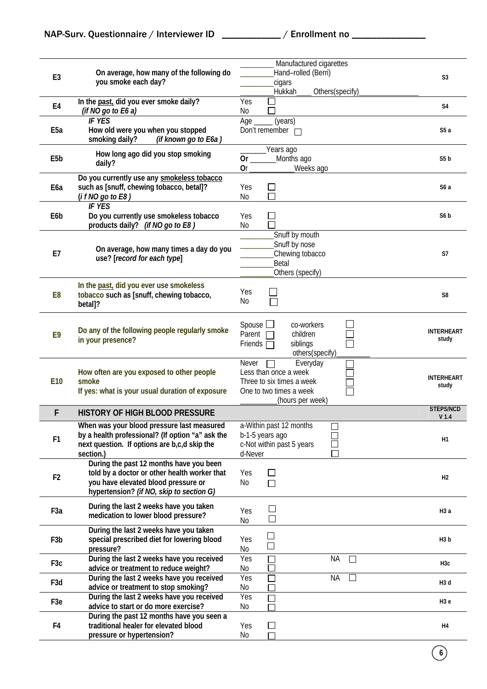|                  |                                                                                    | Manufactured cigarettes                       |                            |
|------------------|------------------------------------------------------------------------------------|-----------------------------------------------|----------------------------|
| E <sub>3</sub>   | On average, how many of the following do                                           | Hand-rolled (Berri)                           | S <sub>3</sub>             |
|                  | you smoke each day?                                                                | cigars                                        |                            |
|                  |                                                                                    | <b>Hukkah</b><br>Others(specify)              |                            |
| E4               | In the past, did you ever smoke daily?                                             | Yes                                           | S <sub>4</sub>             |
|                  | (if NO go to $E6a$ )<br><b>IF YES</b>                                              | No                                            |                            |
| E <sub>5</sub> a | How old were you when you stopped                                                  | Age<br>(years)<br>Don't remember $\Box$       | S5a                        |
|                  | smoking daily?<br>(if known go to E6a)                                             |                                               |                            |
|                  |                                                                                    | Years ago                                     |                            |
| E <sub>5</sub> b | How long ago did you stop smoking                                                  | 0r<br>Months ago                              | S <sub>5</sub> b           |
|                  | daily?                                                                             | <b>Or</b><br>Weeks ago                        |                            |
|                  | Do you currently use any smokeless tobacco                                         |                                               |                            |
| E <sub>6a</sub>  | such as [snuff, chewing tobacco, betal]?                                           | Yes<br>⊔                                      | S <sub>6</sub> a           |
|                  | (i f NO go to E8)                                                                  | $\Box$<br>No                                  |                            |
|                  | <b>IF YES</b>                                                                      |                                               | S6 <sub>b</sub>            |
| E6b              | Do you currently use smokeless tobacco<br>products daily? (if NO go to E8)         | Yes<br>$\mathcal{L}$<br>No                    |                            |
|                  |                                                                                    | Snuff by mouth                                |                            |
|                  |                                                                                    | Snuff by nose                                 |                            |
| E7               | On average, how many times a day do you                                            | Chewing tobacco                               | S7                         |
|                  | use? [record for each type]                                                        | Betal                                         |                            |
|                  |                                                                                    | Others (specify)                              |                            |
|                  | In the past, did you ever use smokeless                                            |                                               |                            |
| E8               | tobacco such as [snuff, chewing tobacco,                                           | Yes                                           | S8                         |
|                  | betal]?                                                                            | No                                            |                            |
|                  |                                                                                    |                                               |                            |
|                  | Do any of the following people regularly smoke                                     | Spouse $\Box$<br>co-workers                   | <b>INTERHEART</b>          |
| E9               | in your presence?                                                                  | Parent $\Box$<br>children                     | study                      |
|                  |                                                                                    | siblings<br>Friends $\Box$<br>others(specify) |                            |
|                  |                                                                                    | Everyday<br>Never                             |                            |
|                  | How often are you exposed to other people                                          | Less than once a week                         |                            |
| E10              | smoke                                                                              | Three to six times a week                     | <b>INTERHEART</b><br>study |
|                  | If yes: what is your usual duration of exposure                                    | One to two times a week                       |                            |
|                  |                                                                                    | (hours per week)                              | <b>STEPS/NCD</b>           |
| F                | HISTORY OF HIGH BLOOD PRESSURE                                                     |                                               | V <sub>1.4</sub>           |
|                  | When was your blood pressure last measured                                         | a-Within past 12 months                       |                            |
| F <sub>1</sub>   | by a health professional? (If option "a" ask the                                   | b-1-5 years ago                               | H1                         |
|                  | next question. If options are b,c,d skip the                                       | c-Not within past 5 years                     |                            |
|                  | section.)                                                                          | d-Never                                       |                            |
|                  |                                                                                    |                                               |                            |
|                  | During the past 12 months have you been                                            |                                               |                            |
| F <sub>2</sub>   | told by a doctor or other health worker that                                       | Yes<br>ΙI                                     | H <sub>2</sub>             |
|                  | you have elevated blood pressure or<br>hypertension? (if NO, skip to section G)    | No<br>П                                       |                            |
|                  |                                                                                    |                                               |                            |
| F <sub>3</sub> a | During the last 2 weeks have you taken                                             | Yes                                           | H3a                        |
|                  | medication to lower blood pressure?                                                | No                                            |                            |
|                  | During the last 2 weeks have you taken                                             |                                               |                            |
| F <sub>3</sub> b | special prescribed diet for lowering blood                                         | Yes                                           | H3b                        |
|                  | pressure?                                                                          | No                                            |                            |
| F <sub>3</sub> c | During the last 2 weeks have you received                                          | Yes<br><b>NA</b><br>L                         | H <sub>3</sub> c           |
|                  | advice or treatment to reduce weight?<br>During the last 2 weeks have you received | No<br>Yes<br><b>NA</b><br>□                   |                            |
| F <sub>3</sub> d | advice or treatment to stop smoking?                                               | No                                            | H <sub>3</sub> d           |
|                  | During the last 2 weeks have you received                                          | Yes<br>H                                      |                            |
| F <sub>3</sub> e | advice to start or do more exercise?                                               | No                                            | H3e                        |
|                  | During the past 12 months have you seen a                                          |                                               |                            |
| F4               | traditional healer for elevated blood<br>pressure or hypertension?                 | Yes<br>$\mathsf{L}$<br>No                     | H4                         |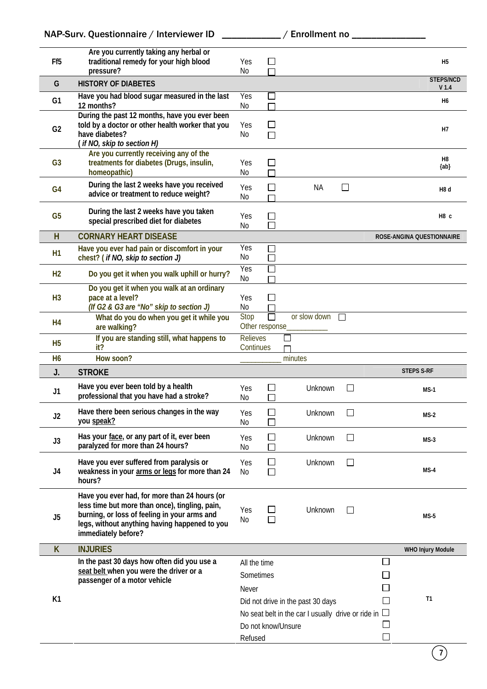|                 | NAP-Surv. Questionnaire / Interviewer ID                                                                                                                                                                                |                                           |                                          | / Enrollment no ________                                                        |                             |        |                                      |
|-----------------|-------------------------------------------------------------------------------------------------------------------------------------------------------------------------------------------------------------------------|-------------------------------------------|------------------------------------------|---------------------------------------------------------------------------------|-----------------------------|--------|--------------------------------------|
| Ff <sub>5</sub> | Are you currently taking any herbal or<br>traditional remedy for your high blood<br>pressure?                                                                                                                           | Yes<br>No                                 | $\Box$<br>П                              |                                                                                 |                             |        | H <sub>5</sub>                       |
| G               | <b>HISTORY OF DIABETES</b>                                                                                                                                                                                              |                                           |                                          |                                                                                 |                             |        | <b>STEPS/NCD</b><br>V <sub>1.4</sub> |
| G <sub>1</sub>  | Have you had blood sugar measured in the last<br>12 months?                                                                                                                                                             | Yes<br>No                                 | $\overline{\phantom{a}}$<br>П            |                                                                                 |                             |        | Н6                                   |
| G <sub>2</sub>  | During the past 12 months, have you ever been<br>told by a doctor or other health worker that you<br>have diabetes?<br>(if NO, skip to section H)                                                                       | Yes<br>No                                 | ΙI<br>П                                  |                                                                                 |                             |        | Н7                                   |
| G <sub>3</sub>  | Are you currently receiving any of the<br>treatments for diabetes (Drugs, insulin,<br>homeopathic)                                                                                                                      | Yes<br>No                                 | $\Box$                                   |                                                                                 |                             |        | H8<br>${ab}$                         |
| G <sub>4</sub>  | During the last 2 weeks have you received<br>advice or treatment to reduce weight?                                                                                                                                      | Yes<br>No                                 | $\mathsf{L}$                             | <b>NA</b>                                                                       | $\Box$                      |        | H <sub>8</sub> d                     |
| G <sub>5</sub>  | During the last 2 weeks have you taken<br>special prescribed diet for diabetes                                                                                                                                          | Yes<br>No                                 | $\Box$<br>□                              |                                                                                 |                             |        | H <sub>8</sub> c                     |
| H               | <b>CORNARY HEART DISEASE</b>                                                                                                                                                                                            |                                           |                                          |                                                                                 |                             |        | ROSE-ANGINA QUESTIONNAIRE            |
| H1              | Have you ever had pain or discomfort in your<br>chest? (if NO, skip to section J)                                                                                                                                       | Yes<br>No                                 | П<br>$\Box$                              |                                                                                 |                             |        |                                      |
| H <sub>2</sub>  | Do you get it when you walk uphill or hurry?                                                                                                                                                                            | Yes<br>No                                 | $\Box$                                   |                                                                                 |                             |        |                                      |
| H <sub>3</sub>  | Do you get it when you walk at an ordinary<br>pace at a level?<br>(If G2 & G3 are "No" skip to section J)                                                                                                               | <b>Yes</b><br>No                          | $\mathsf{L}$                             |                                                                                 |                             |        |                                      |
| H4              | What do you do when you get it while you<br>are walking?                                                                                                                                                                | Stop                                      | $\Box$<br>Other response_                | or slow down $\Box$                                                             |                             |        |                                      |
| H <sub>5</sub>  | If you are standing still, what happens to<br>it?                                                                                                                                                                       | <b>Relieves</b><br>Continues              |                                          | П                                                                               |                             |        |                                      |
| H6              | How soon?                                                                                                                                                                                                               |                                           |                                          | minutes                                                                         |                             |        |                                      |
| J.              | <b>STROKE</b>                                                                                                                                                                                                           |                                           |                                          |                                                                                 |                             |        | <b>STEPS S-RF</b>                    |
| J1              | Have you ever been told by a health<br>professional that you have had a stroke?                                                                                                                                         | Yes<br>N <sub>0</sub>                     | $\overline{\phantom{a}}$<br>$\mathbf{L}$ | Unknown                                                                         | $\mathcal{L}_{\mathcal{A}}$ |        | $MS-1$                               |
| J <sub>2</sub>  | Have there been serious changes in the way<br>you speak?                                                                                                                                                                | Yes<br>No                                 | $\Box$<br>$\Box$                         | Unknown                                                                         | $\Box$                      |        | $MS-2$                               |
| J3              | Has your face, or any part of it, ever been<br>paralyzed for more than 24 hours?                                                                                                                                        | Yes<br>No                                 | $\Box$<br>П                              | Unknown                                                                         | □                           |        | $MS-3$                               |
| J4              | Have you ever suffered from paralysis or<br>weakness in your arms or legs for more than 24<br>hours?                                                                                                                    | Yes<br>No                                 | П<br>П                                   | Unknown                                                                         | □                           |        | $MS-4$                               |
| J5              | Have you ever had, for more than 24 hours (or<br>less time but more than once), tingling, pain,<br>burning, or loss of feeling in your arms and<br>legs, without anything having happened to you<br>immediately before? | Yes<br>No                                 | ΙI<br>П                                  | Unknown                                                                         | $\Box$                      |        | $MS-5$                               |
| K               | <b>INJURIES</b>                                                                                                                                                                                                         |                                           |                                          |                                                                                 |                             |        | <b>WHO Injury Module</b>             |
| K1              | In the past 30 days how often did you use a<br>seat belt when you were the driver or a<br>passenger of a motor vehicle                                                                                                  | All the time<br>Sometimes<br><b>Never</b> |                                          | Did not drive in the past 30 days                                               |                             | $\Box$ | T1                                   |
|                 |                                                                                                                                                                                                                         | Refused                                   |                                          | No seat belt in the car I usually drive or ride in $\Box$<br>Do not know/Unsure |                             | $\Box$ |                                      |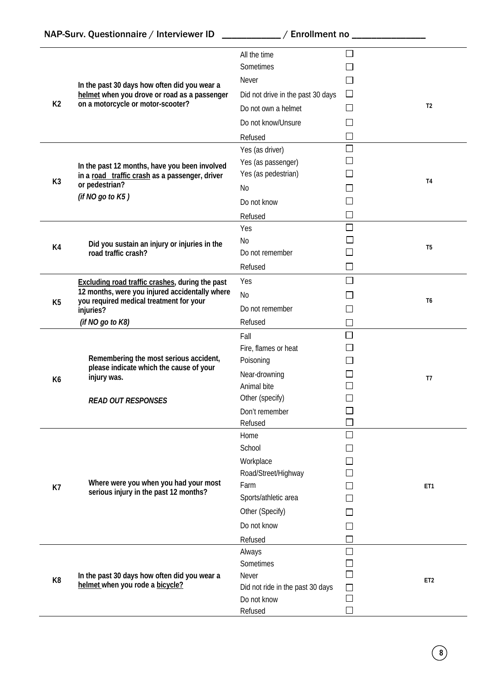|                | In the past 30 days how often did you wear a                                              | All the time<br>Sometimes         |                |                 |
|----------------|-------------------------------------------------------------------------------------------|-----------------------------------|----------------|-----------------|
|                |                                                                                           | Never                             |                |                 |
| K <sub>2</sub> | helmet when you drove or road as a passenger<br>on a motorcycle or motor-scooter?         | Did not drive in the past 30 days | $\Box$         | T <sub>2</sub>  |
|                |                                                                                           | Do not own a helmet               |                |                 |
|                |                                                                                           | Do not know/Unsure                |                |                 |
|                |                                                                                           | Refused                           |                |                 |
|                |                                                                                           | Yes (as driver)                   | $\Box$         |                 |
|                | In the past 12 months, have you been involved                                             | Yes (as passenger)                |                |                 |
| K <sub>3</sub> | in a road traffic crash as a passenger, driver                                            | Yes (as pedestrian)               |                | <b>T4</b>       |
|                | or pedestrian?<br>(if NO go to K5)                                                        | No                                |                |                 |
|                |                                                                                           | Do not know                       |                |                 |
|                |                                                                                           | Refused                           |                |                 |
|                |                                                                                           | Yes                               | $\Box$         |                 |
| K4             | Did you sustain an injury or injuries in the                                              | No                                |                | T5              |
|                | road traffic crash?                                                                       | Do not remember                   |                |                 |
|                |                                                                                           | Refused                           | $\blacksquare$ |                 |
|                | Excluding road traffic crashes, during the past                                           | Yes                               | П              |                 |
|                | 12 months, were you injured accidentally where<br>you required medical treatment for your | N <sub>0</sub>                    |                | T6              |
| K <sub>5</sub> | injuries?                                                                                 | Do not remember                   |                |                 |
|                | (if NO go to K8)                                                                          | Refused                           |                |                 |
|                |                                                                                           | Fall                              | $\Box$         |                 |
|                |                                                                                           | Fire, flames or heat              |                |                 |
|                | Remembering the most serious accident,                                                    | Poisoning                         |                | T <sub>7</sub>  |
| K <sub>6</sub> | please indicate which the cause of your<br>injury was.                                    | Near-drowning                     |                |                 |
|                |                                                                                           | Animal bite                       |                |                 |
|                | <b>READ OUT RESPONSES</b>                                                                 | Other (specify)                   |                |                 |
|                |                                                                                           | Don't remember                    |                |                 |
|                |                                                                                           | Refused                           |                |                 |
|                |                                                                                           | Home                              |                |                 |
|                |                                                                                           | School                            |                |                 |
|                |                                                                                           | Workplace                         |                |                 |
|                |                                                                                           | Road/Street/Highway               |                |                 |
| K7             | Where were you when you had your most<br>serious injury in the past 12 months?            | Farm                              |                | ET1             |
|                |                                                                                           | Sports/athletic area              |                |                 |
|                |                                                                                           | Other (Specify)                   |                |                 |
|                |                                                                                           | Do not know                       |                |                 |
|                |                                                                                           | Refused                           |                |                 |
|                |                                                                                           | Always                            |                |                 |
|                |                                                                                           | Sometimes                         |                |                 |
| K <sub>8</sub> | In the past 30 days how often did you wear a<br>helmet when you rode a bicycle?           | Never                             |                | ET <sub>2</sub> |
|                |                                                                                           | Did not ride in the past 30 days  |                |                 |
|                |                                                                                           | Do not know                       |                |                 |
|                |                                                                                           | Refused                           |                |                 |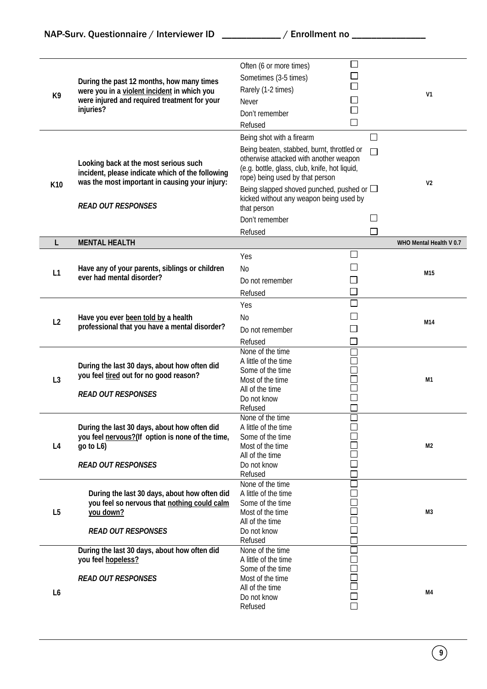| K9             | During the past 12 months, how many times<br>were you in a violent incident in which you<br>were injured and required treatment for your<br>injuries?                    | Often (6 or more times)<br>Sometimes (3-5 times)<br>Rarely (1-2 times)<br>Never<br>Don't remember<br>Refused                                                                                                                                                                                                                                   | $\Box$<br>$\mathcal{L}_{\mathcal{A}}$                                                        | V1                      |
|----------------|--------------------------------------------------------------------------------------------------------------------------------------------------------------------------|------------------------------------------------------------------------------------------------------------------------------------------------------------------------------------------------------------------------------------------------------------------------------------------------------------------------------------------------|----------------------------------------------------------------------------------------------|-------------------------|
| K10            | Looking back at the most serious such<br>incident, please indicate which of the following<br>was the most important in causing your injury:<br><b>READ OUT RESPONSES</b> | Being shot with a firearm<br>Being beaten, stabbed, burnt, throttled or<br>otherwise attacked with another weapon<br>(e.g. bottle, glass, club, knife, hot liquid,<br>rope) being used by that person<br>Being slapped shoved punched, pushed or $\Box$<br>kicked without any weapon being used by<br>that person<br>Don't remember<br>Refused | $\Box$                                                                                       | V <sub>2</sub>          |
| L              | <b>MENTAL HEALTH</b>                                                                                                                                                     |                                                                                                                                                                                                                                                                                                                                                |                                                                                              | WHO Mental Health V 0.7 |
| L1             | Have any of your parents, siblings or children<br>ever had mental disorder?                                                                                              | Yes<br>No<br>Do not remember<br>Refused                                                                                                                                                                                                                                                                                                        | $\overline{\phantom{a}}$                                                                     | M15                     |
| L2             | Have you ever been told by a health<br>professional that you have a mental disorder?                                                                                     | Yes<br>No<br>Do not remember<br>Refused                                                                                                                                                                                                                                                                                                        | $\Box$<br>$\overline{\phantom{0}}$                                                           | M14                     |
| L <sub>3</sub> | During the last 30 days, about how often did<br>you feel tired out for no good reason?<br><b>READ OUT RESPONSES</b>                                                      | None of the time<br>A little of the time<br>Some of the time<br>Most of the time<br>All of the time<br>Do not know<br>Refused                                                                                                                                                                                                                  | L<br>$\Box$                                                                                  | M1                      |
| L4             | During the last 30 days, about how often did<br>you feel nervous?(If option is none of the time,<br>go to L6)<br><b>READ OUT RESPONSES</b>                               | None of the time<br>A little of the time<br>Some of the time<br>Most of the time<br>All of the time<br>Do not know<br>Refused                                                                                                                                                                                                                  | $\overline{\phantom{a}}$<br>$\Box$                                                           | M2                      |
| L <sub>5</sub> | During the last 30 days, about how often did<br>you feel so nervous that nothing could calm<br>you down?<br><b>READ OUT RESPONSES</b>                                    | None of the time<br>A little of the time<br>Some of the time<br>Most of the time<br>All of the time<br>Do not know<br>Refused                                                                                                                                                                                                                  | $\Box$<br>$\mathcal{L}$<br>$\overline{\phantom{a}}$<br>$\mathcal{L}_{\mathcal{A}}$<br>$\Box$ | M3                      |
| L6             | During the last 30 days, about how often did<br>you feel hopeless?<br><b>READ OUT RESPONSES</b>                                                                          | None of the time<br>A little of the time<br>Some of the time<br>Most of the time<br>All of the time<br>Do not know<br>Refused                                                                                                                                                                                                                  | $\Box$<br>$\mathcal{L}_{\mathcal{A}}$<br>$\Box$<br>$\Box$<br>$\Box$<br>$\Box$                | M4                      |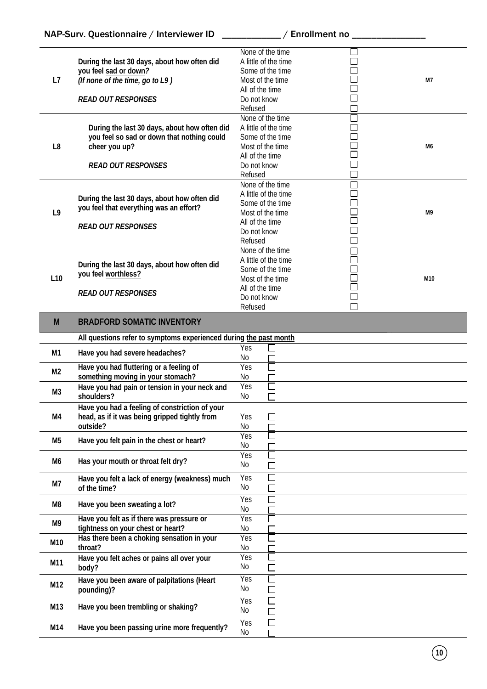|                 |                                                                   | None of the time<br>A little of the time |                          |     |
|-----------------|-------------------------------------------------------------------|------------------------------------------|--------------------------|-----|
|                 | During the last 30 days, about how often did                      |                                          |                          |     |
|                 | you feel sad or down?                                             | Some of the time                         |                          |     |
| L7              | (If none of the time, go to L9)                                   | Most of the time                         |                          | M7  |
|                 |                                                                   | All of the time                          |                          |     |
|                 | <b>READ OUT RESPONSES</b>                                         | Do not know                              |                          |     |
|                 |                                                                   | Refused                                  |                          |     |
|                 |                                                                   | None of the time                         |                          |     |
|                 | During the last 30 days, about how often did                      | A little of the time                     | $\mathbb{R}^2$           |     |
|                 | you feel so sad or down that nothing could                        | Some of the time                         |                          |     |
| L <sub>8</sub>  | cheer you up?                                                     | Most of the time                         |                          | M6  |
|                 |                                                                   |                                          |                          |     |
|                 |                                                                   | All of the time                          |                          |     |
|                 | <b>READ OUT RESPONSES</b>                                         | Do not know                              | $\overline{\phantom{a}}$ |     |
|                 |                                                                   | Refused                                  | $\Box$                   |     |
|                 |                                                                   | None of the time                         |                          |     |
|                 | During the last 30 days, about how often did                      | A little of the time                     |                          |     |
|                 | you feel that everything was an effort?                           | Some of the time                         |                          |     |
| L <sub>9</sub>  |                                                                   | Most of the time                         |                          | M9  |
|                 |                                                                   | All of the time                          |                          |     |
|                 | <b>READ OUT RESPONSES</b>                                         | Do not know                              | $\mathcal{L}$            |     |
|                 |                                                                   | Refused                                  |                          |     |
|                 |                                                                   | None of the time                         |                          |     |
|                 |                                                                   | A little of the time                     |                          |     |
|                 | During the last 30 days, about how often did                      | Some of the time                         |                          |     |
| L <sub>10</sub> | you feel worthless?                                               | Most of the time                         |                          | M10 |
|                 |                                                                   | All of the time                          |                          |     |
|                 | <b>READ OUT RESPONSES</b>                                         | Do not know                              | $\mathcal{L}$            |     |
|                 |                                                                   | Refused                                  |                          |     |
|                 |                                                                   |                                          |                          |     |
| M <sub>1</sub>  | <b>BRADFORD SOMATIC INVENTORY</b>                                 |                                          |                          |     |
|                 | All questions refer to symptoms experienced during the past month |                                          |                          |     |
|                 |                                                                   |                                          |                          |     |
|                 |                                                                   | Yes                                      |                          |     |
| M1              | Have you had severe headaches?                                    | No                                       |                          |     |
|                 | Have you had fluttering or a feeling of                           | Yes                                      |                          |     |
| M <sub>2</sub>  | something moving in your stomach?                                 | No                                       |                          |     |
|                 |                                                                   | Yes                                      |                          |     |
| M <sub>3</sub>  | Have you had pain or tension in your neck and<br>shoulders?       | No                                       |                          |     |
|                 |                                                                   |                                          |                          |     |
|                 | Have you had a feeling of constriction of your                    |                                          |                          |     |
| M4              | head, as if it was being gripped tightly from                     | Yes                                      |                          |     |
|                 | outside?                                                          | No                                       |                          |     |
| M <sub>5</sub>  | Have you felt pain in the chest or heart?                         | Yes                                      |                          |     |
|                 |                                                                   | No                                       |                          |     |
|                 |                                                                   | Yes<br>$\mathcal{L}$                     |                          |     |
| M6              | Has your mouth or throat felt dry?                                | No                                       |                          |     |
|                 |                                                                   | Yes<br>$\overline{\phantom{a}}$          |                          |     |
| M7              | Have you felt a lack of energy (weakness) much                    | No                                       |                          |     |
|                 | of the time?                                                      | $\Box$                                   |                          |     |
| M8              | Have you been sweating a lot?                                     | Yes<br>$\overline{\phantom{a}}$          |                          |     |
|                 |                                                                   | No                                       |                          |     |
| M9              | Have you felt as if there was pressure or                         | Yes                                      |                          |     |
|                 | tightness on your chest or heart?                                 | No                                       |                          |     |
| M10             | Has there been a choking sensation in your                        | Yes<br>$\overline{\phantom{0}}$          |                          |     |
|                 | throat?                                                           | No.                                      |                          |     |
|                 | Have you felt aches or pains all over your                        | Yes<br>M.                                |                          |     |
| M11             | body?                                                             | No<br>П                                  |                          |     |
|                 | Have you been aware of palpitations (Heart                        | Yes<br>$\Box$                            |                          |     |
| M12             | pounding)?                                                        | No<br>$\Box$                             |                          |     |
|                 |                                                                   |                                          |                          |     |
| M13             | Have you been trembling or shaking?                               | П<br>Yes                                 |                          |     |
|                 |                                                                   | No<br>П                                  |                          |     |
| M14             | Have you been passing urine more frequently?                      | Yes<br>$\mathcal{L}_{\mathcal{A}}$<br>No |                          |     |